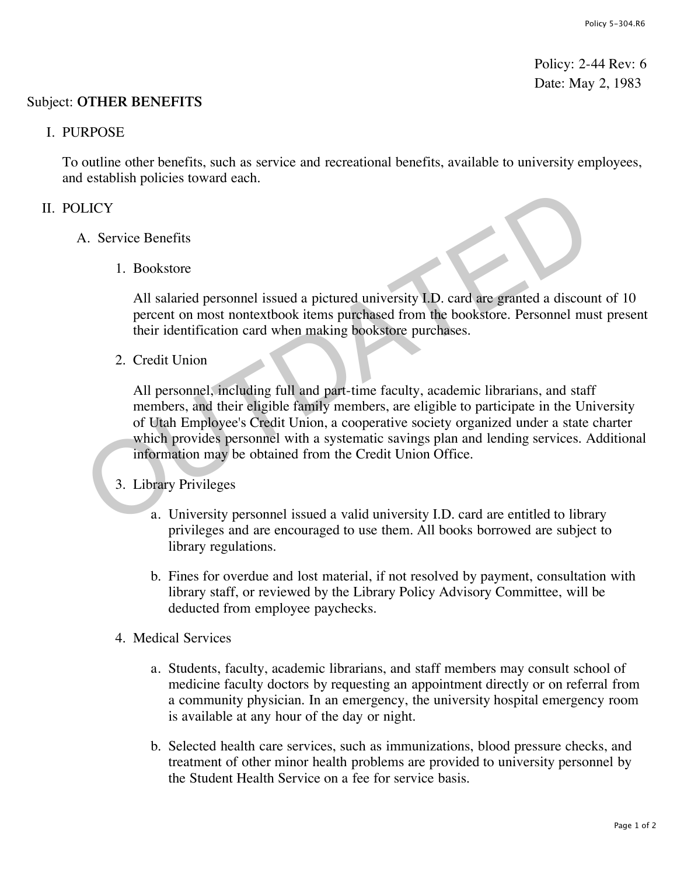Policy: 2-44 Rev: 6 Date: May 2, 1983

### Subject: **OTHER BENEFITS**

#### I. PURPOSE

To outline other benefits, such as service and recreational benefits, available to university employees, and establish policies toward each.

# II. POLICY

- A. Service Benefits
	- 1. Bookstore

All salaried personnel issued a pictured university I.D. card are granted a discount of 10 percent on most nontextbook items purchased from the bookstore. Personnel must present their identification card when making bookstore purchases.

2. Credit Union

All personnel, including full and part-time faculty, academic librarians, and staff members, and their eligible family members, are eligible to participate in the University of Utah Employee's Credit Union, a cooperative society organized under a state charter which provides personnel with a systematic savings plan and lending services. Additional information may be obtained from the Credit Union Office. EXECT:<br>
1. Bookstore<br>
2. Service Benefits<br>
1. Bookstore<br>
2. Credit salaried personnel issued a pictured university LD. card are granted a discourse<br>
2. Credit Union<br>
2. Credit Union<br>
2. Credit Union<br>
2. Credit Union<br>
2. Cr

### 3. Library Privileges

- a. University personnel issued a valid university I.D. card are entitled to library privileges and are encouraged to use them. All books borrowed are subject to library regulations.
- b. Fines for overdue and lost material, if not resolved by payment, consultation with library staff, or reviewed by the Library Policy Advisory Committee, will be deducted from employee paychecks.
- 4. Medical Services
	- a. Students, faculty, academic librarians, and staff members may consult school of medicine faculty doctors by requesting an appointment directly or on referral from a community physician. In an emergency, the university hospital emergency room is available at any hour of the day or night.
	- b. Selected health care services, such as immunizations, blood pressure checks, and treatment of other minor health problems are provided to university personnel by the Student Health Service on a fee for service basis.